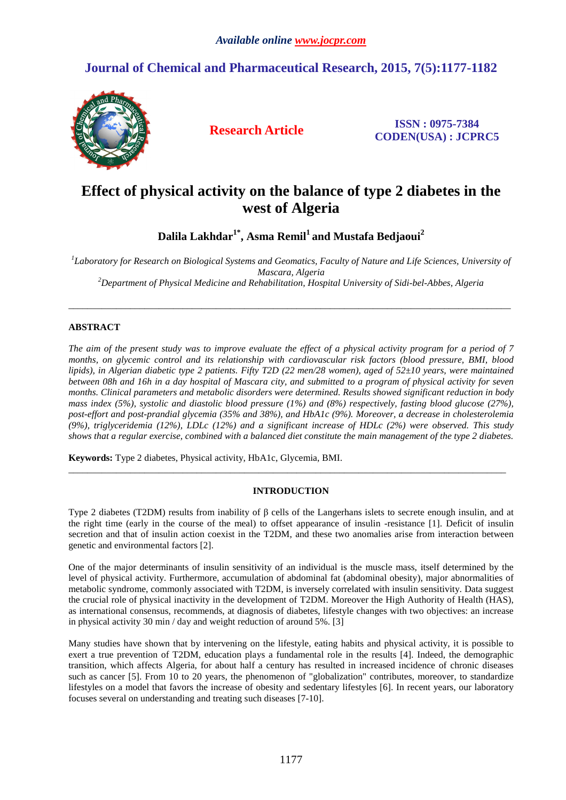# **Journal of Chemical and Pharmaceutical Research, 2015, 7(5):1177-1182**



**Research Article ISSN : 0975-7384 CODEN(USA) : JCPRC5**

# **Effect of physical activity on the balance of type 2 diabetes in the west of Algeria**

**Dalila Lakhdar1\*, Asma Remil<sup>1</sup>and Mustafa Bedjaoui<sup>2</sup>**

*1 Laboratory for Research on Biological Systems and Geomatics, Faculty of Nature and Life Sciences, University of Mascara, Algeria <sup>2</sup>Department of Physical Medicine and Rehabilitation, Hospital University of Sidi-bel-Abbes, Algeria* 

\_\_\_\_\_\_\_\_\_\_\_\_\_\_\_\_\_\_\_\_\_\_\_\_\_\_\_\_\_\_\_\_\_\_\_\_\_\_\_\_\_\_\_\_\_\_\_\_\_\_\_\_\_\_\_\_\_\_\_\_\_\_\_\_\_\_\_\_\_\_\_\_\_\_\_\_\_\_\_\_\_\_\_\_\_\_\_\_\_\_\_\_\_

# **ABSTRACT**

*The aim of the present study was to improve evaluate the effect of a physical activity program for a period of 7 months, on glycemic control and its relationship with cardiovascular risk factors (blood pressure, BMI, blood lipids), in Algerian diabetic type 2 patients. Fifty T2D (22 men/28 women), aged of 52±10 years, were maintained between 08h and 16h in a day hospital of Mascara city, and submitted to a program of physical activity for seven months. Clinical parameters and metabolic disorders were determined. Results showed significant reduction in body mass index (5%), systolic and diastolic blood pressure (1%) and (8%) respectively, fasting blood glucose (27%), post-effort and post-prandial glycemia (35% and 38%), and HbA1c (9%). Moreover, a decrease in cholesterolemia (9%), triglyceridemia (12%), LDLc (12%) and a significant increase of HDLc (2%) were observed. This study shows that a regular exercise, combined with a balanced diet constitute the main management of the type 2 diabetes.* 

**Keywords:** Type 2 diabetes, Physical activity, HbA1c, Glycemia, BMI.

# **INTRODUCTION**

 $\overline{\phantom{a}}$  , and the set of the set of the set of the set of the set of the set of the set of the set of the set of the set of the set of the set of the set of the set of the set of the set of the set of the set of the s

Type 2 diabetes (T2DM) results from inability of β cells of the Langerhans islets to secrete enough insulin, and at the right time (early in the course of the meal) to offset appearance of insulin -resistance [1]. Deficit of insulin secretion and that of insulin action coexist in the T2DM, and these two anomalies arise from interaction between genetic and environmental factors [2].

One of the major determinants of insulin sensitivity of an individual is the muscle mass, itself determined by the level of physical activity. Furthermore, accumulation of abdominal fat (abdominal obesity), major abnormalities of metabolic syndrome, commonly associated with T2DM, is inversely correlated with insulin sensitivity. Data suggest the crucial role of physical inactivity in the development of T2DM. Moreover the High Authority of Health (HAS), as international consensus, recommends, at diagnosis of diabetes, lifestyle changes with two objectives: an increase in physical activity 30 min / day and weight reduction of around 5%. [3]

Many studies have shown that by intervening on the lifestyle, eating habits and physical activity, it is possible to exert a true prevention of T2DM, education plays a fundamental role in the results [4]. Indeed, the demographic transition, which affects Algeria, for about half a century has resulted in increased incidence of chronic diseases such as cancer [5]. From 10 to 20 years, the phenomenon of "globalization" contributes, moreover, to standardize lifestyles on a model that favors the increase of obesity and sedentary lifestyles [6]. In recent years, our laboratory focuses several on understanding and treating such diseases [7-10].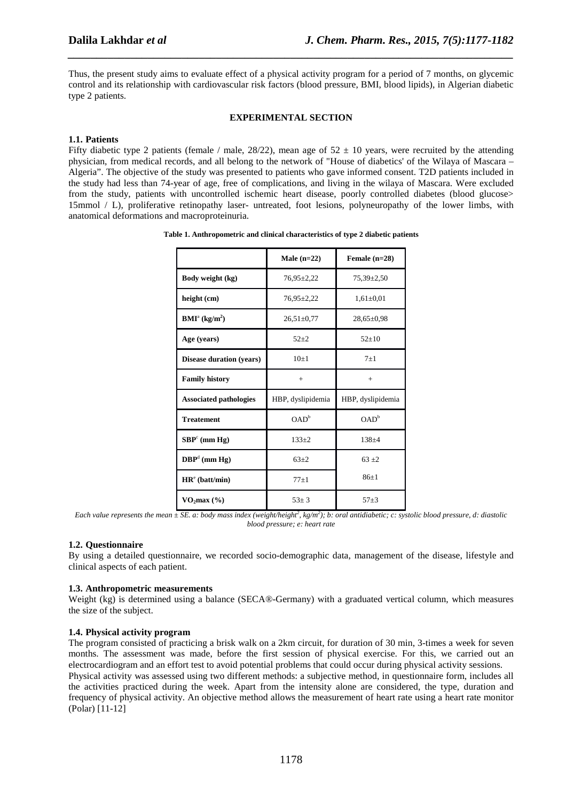Thus, the present study aims to evaluate effect of a physical activity program for a period of 7 months, on glycemic control and its relationship with cardiovascular risk factors (blood pressure, BMI, blood lipids), in Algerian diabetic type 2 patients.

*\_\_\_\_\_\_\_\_\_\_\_\_\_\_\_\_\_\_\_\_\_\_\_\_\_\_\_\_\_\_\_\_\_\_\_\_\_\_\_\_\_\_\_\_\_\_\_\_\_\_\_\_\_\_\_\_\_\_\_\_\_\_\_\_\_\_\_\_\_\_\_\_\_\_\_\_\_\_*

#### **EXPERIMENTAL SECTION**

## **1.1. Patients**

Fifty diabetic type 2 patients (female / male,  $28/22$ ), mean age of  $52 \pm 10$  years, were recruited by the attending physician, from medical records, and all belong to the network of "House of diabetics' of the Wilaya of Mascara – Algeria". The objective of the study was presented to patients who gave informed consent. T2D patients included in the study had less than 74-year of age, free of complications, and living in the wilaya of Mascara. Were excluded from the study, patients with uncontrolled ischemic heart disease, poorly controlled diabetes (blood glucose> 15mmol / L), proliferative retinopathy laser- untreated, foot lesions, polyneuropathy of the lower limbs, with anatomical deformations and macroproteinuria.

|                                                         | Male $(n=22)$     | Female $(n=28)$   |
|---------------------------------------------------------|-------------------|-------------------|
| Body weight (kg)                                        | $76.95 \pm 2.22$  | $75.39 \pm 2.50$  |
| height (cm)                                             | $76.95 \pm 2.22$  | $1,61\pm0.01$     |
| $\mathbf{BMI}^{\mathrm{a}}\left(\mathbf{kg/m}^2\right)$ | $26,51\pm0.77$    | $28,65 \pm 0.98$  |
| Age (years)                                             | $52 + 2$          | $52+10$           |
| <b>Disease duration (years)</b>                         | $10+1$            | $7 + 1$           |
| <b>Family history</b>                                   | $+$               | $+$               |
| <b>Associated pathologies</b>                           | HBP, dyslipidemia | HBP, dyslipidemia |
| <b>Treatement</b>                                       | OAD <sup>b</sup>  | OAD <sup>b</sup>  |
| $SBPc$ (mm Hg)                                          | $133+2$           | $138 + 4$         |
| $\mathbf{DBP}^d$ (mm Hg)                                | $63 + 2$          | $63 + 2$          |
| HR <sup>e</sup> (batt/min)                              | $77+1$            | $86+1$            |
| VO <sub>2</sub> max(%)                                  | $53 + 3$          | $57 + 3$          |

| Table 1. Anthropometric and clinical characteristics of type 2 diabetic patients |  |  |
|----------------------------------------------------------------------------------|--|--|
|----------------------------------------------------------------------------------|--|--|

*Each value represents the mean*  $\pm$  SE. a: body mass index (weight/height<sup>2</sup>, kg/m<sup>2</sup>); b: oral antidiabetic; c: systolic blood pressure, d: diastolic *blood pressure; e: heart rate*

## **1.2. Questionnaire**

By using a detailed questionnaire, we recorded socio-demographic data, management of the disease, lifestyle and clinical aspects of each patient.

## **1.3. Anthropometric measurements**

Weight (kg) is determined using a balance (SECA®-Germany) with a graduated vertical column, which measures the size of the subject.

## **1.4. Physical activity program**

The program consisted of practicing a brisk walk on a 2km circuit, for duration of 30 min, 3-times a week for seven months. The assessment was made, before the first session of physical exercise. For this, we carried out an electrocardiogram and an effort test to avoid potential problems that could occur during physical activity sessions. Physical activity was assessed using two different methods: a subjective method, in questionnaire form, includes all the activities practiced during the week. Apart from the intensity alone are considered, the type, duration and frequency of physical activity. An objective method allows the measurement of heart rate using a heart rate monitor (Polar) [11-12]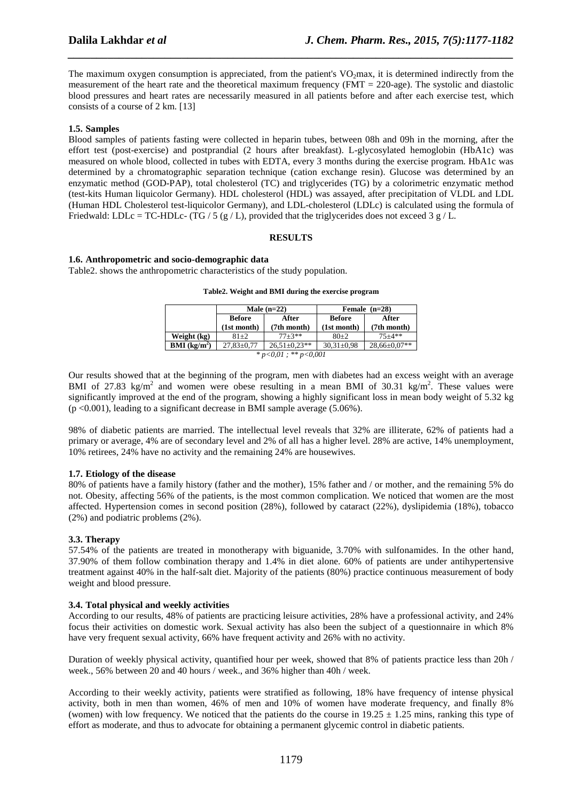The maximum oxygen consumption is appreciated, from the patient's  $VO<sub>2</sub>max$ , it is determined indirectly from the measurement of the heart rate and the theoretical maximum frequency (FMT = 220-age). The systolic and diastolic blood pressures and heart rates are necessarily measured in all patients before and after each exercise test, which consists of a course of 2 km. [13]

*\_\_\_\_\_\_\_\_\_\_\_\_\_\_\_\_\_\_\_\_\_\_\_\_\_\_\_\_\_\_\_\_\_\_\_\_\_\_\_\_\_\_\_\_\_\_\_\_\_\_\_\_\_\_\_\_\_\_\_\_\_\_\_\_\_\_\_\_\_\_\_\_\_\_\_\_\_\_*

#### **1.5. Samples**

Blood samples of patients fasting were collected in heparin tubes, between 08h and 09h in the morning, after the effort test (post-exercise) and postprandial (2 hours after breakfast). L-glycosylated hemoglobin (HbA1c) was measured on whole blood, collected in tubes with EDTA, every 3 months during the exercise program. HbA1c was determined by a chromatographic separation technique (cation exchange resin). Glucose was determined by an enzymatic method (GOD-PAP), total cholesterol (TC) and triglycerides (TG) by a colorimetric enzymatic method (test-kits Human liquicolor Germany). HDL cholesterol (HDL) was assayed, after precipitation of VLDL and LDL (Human HDL Cholesterol test-liquicolor Germany), and LDL-cholesterol (LDLc) is calculated using the formula of Friedwald: LDLc = TC-HDLc- (TG / 5 (g / L), provided that the triglycerides does not exceed 3 g / L.

#### **RESULTS**

#### **1.6. Anthropometric and socio-demographic data**

Table2. shows the anthropometric characteristics of the study population.

|  |  |  |  |  |  |  |  | Table2. Weight and BMI during the exercise program |
|--|--|--|--|--|--|--|--|----------------------------------------------------|
|--|--|--|--|--|--|--|--|----------------------------------------------------|

|                            |                        | Male $(n=22)$      | Female $(n=28)$  |                    |  |
|----------------------------|------------------------|--------------------|------------------|--------------------|--|
|                            | <b>Before</b><br>After |                    | <b>Before</b>    | After              |  |
|                            | (1st month)            | (7th month)        | (1st month)      | (7th month)        |  |
| Weight (kg)                | $81 + 2$               | $77 + 3**$         | $80+2$           | $75 + 4**$         |  |
| $BMI$ (kg/m <sup>2</sup> ) | $27.83 \pm 0.77$       | $26.51 \pm 0.23**$ | $30.31 \pm 0.98$ | $28,66 \pm 0.07**$ |  |
| $*_{n<0.01}$ $*_{n<0.001}$ |                        |                    |                  |                    |  |

*\* p<0,01 ; \*\* p<0,001* 

Our results showed that at the beginning of the program, men with diabetes had an excess weight with an average BMI of 27.83 kg/m<sup>2</sup> and women were obese resulting in a mean BMI of 30.31 kg/m<sup>2</sup>. These values were significantly improved at the end of the program, showing a highly significant loss in mean body weight of 5.32 kg (p <0.001), leading to a significant decrease in BMI sample average (5.06%).

98% of diabetic patients are married. The intellectual level reveals that 32% are illiterate, 62% of patients had a primary or average, 4% are of secondary level and 2% of all has a higher level. 28% are active, 14% unemployment, 10% retirees, 24% have no activity and the remaining 24% are housewives.

## **1.7. Etiology of the disease**

80% of patients have a family history (father and the mother), 15% father and / or mother, and the remaining 5% do not. Obesity, affecting 56% of the patients, is the most common complication. We noticed that women are the most affected. Hypertension comes in second position (28%), followed by cataract (22%), dyslipidemia (18%), tobacco (2%) and podiatric problems (2%).

## **3.3. Therapy**

57.54% of the patients are treated in monotherapy with biguanide, 3.70% with sulfonamides. In the other hand, 37.90% of them follow combination therapy and 1.4% in diet alone. 60% of patients are under antihypertensive treatment against 40% in the half-salt diet. Majority of the patients (80%) practice continuous measurement of body weight and blood pressure.

## **3.4. Total physical and weekly activities**

According to our results, 48% of patients are practicing leisure activities, 28% have a professional activity, and 24% focus their activities on domestic work. Sexual activity has also been the subject of a questionnaire in which 8% have very frequent sexual activity, 66% have frequent activity and 26% with no activity.

Duration of weekly physical activity, quantified hour per week, showed that 8% of patients practice less than 20h / week., 56% between 20 and 40 hours / week., and 36% higher than 40h / week.

According to their weekly activity, patients were stratified as following, 18% have frequency of intense physical activity, both in men than women, 46% of men and 10% of women have moderate frequency, and finally 8% (women) with low frequency. We noticed that the patients do the course in  $19.25 \pm 1.25$  mins, ranking this type of effort as moderate, and thus to advocate for obtaining a permanent glycemic control in diabetic patients.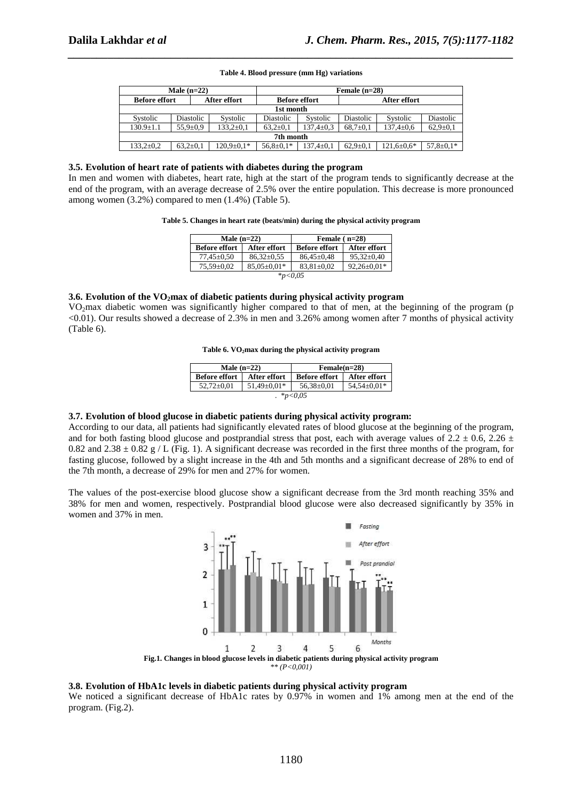#### **Table 4. Blood pressure (mm Hg) variations**

*\_\_\_\_\_\_\_\_\_\_\_\_\_\_\_\_\_\_\_\_\_\_\_\_\_\_\_\_\_\_\_\_\_\_\_\_\_\_\_\_\_\_\_\_\_\_\_\_\_\_\_\_\_\_\_\_\_\_\_\_\_\_\_\_\_\_\_\_\_\_\_\_\_\_\_\_\_\_*

| Male $(n=22)$        |                |                  |                      | Female $(n=28)$ |                |                  |                 |
|----------------------|----------------|------------------|----------------------|-----------------|----------------|------------------|-----------------|
| <b>Before effort</b> |                | After effort     | <b>Before effort</b> |                 | After effort   |                  |                 |
|                      | 1st month      |                  |                      |                 |                |                  |                 |
| Systolic             | Diastolic      | Systolic         | Diastolic            | Systolic        | Diastolic      | Systolic         | Diastolic       |
| $130.9 \pm 1.1$      | $55.9 \pm 0.9$ | $133.2 \pm 0.1$  | $63.2 \pm 0.1$       | $37.4 \pm 0.3$  | $68,7{\pm}0.1$ | $137.4 \pm 0.6$  | $62,9 \pm 0.1$  |
| 7th month            |                |                  |                      |                 |                |                  |                 |
| $133.2 \pm 0.2$      | $63.2 \pm 0.1$ | $120.9 \pm 0.1*$ | $56,8 \pm 0.1*$      | $37.4 \pm 0.1$  | $62.9 \pm 0.1$ | $121.6 \pm 0.6*$ | $57,8 \pm 0.1*$ |

#### **3.5. Evolution of heart rate of patients with diabetes during the program**

In men and women with diabetes, heart rate, high at the start of the program tends to significantly decrease at the end of the program, with an average decrease of 2.5% over the entire population. This decrease is more pronounced among women (3.2%) compared to men (1.4%) (Table 5).

#### **Table 5. Changes in heart rate (beats/min) during the physical activity program**

| Male $(n=22)$        |                   | Female $(n=28)$      |                   |  |  |
|----------------------|-------------------|----------------------|-------------------|--|--|
| <b>Before effort</b> | After effort      | <b>Before effort</b> | After effort      |  |  |
| $77.45 \pm 0.50$     | $86.32 \pm 0.55$  | $86.45 \pm 0.48$     | $95.32 \pm 0.40$  |  |  |
| $75.59 \pm 0.02$     | $85.05 \pm 0.01*$ | $83.81 \pm 0.02$     | $92.26 \pm 0.01*$ |  |  |
| $*_{p<0.05}$         |                   |                      |                   |  |  |

#### **3.6. Evolution of the VO2max of diabetic patients during physical activity program**

VO2max diabetic women was significantly higher compared to that of men, at the beginning of the program (p <0.01). Our results showed a decrease of 2.3% in men and 3.26% among women after 7 months of physical activity (Table 6).

**Table 6. VO2max during the physical activity program** 

| Male $(n=22)$                                                                  |              | $Female(n=28)$       |                     |  |  |
|--------------------------------------------------------------------------------|--------------|----------------------|---------------------|--|--|
| <b>Before effort</b>                                                           | After effort | <b>Before effort</b> | <b>After effort</b> |  |  |
| $54.54 \pm 0.01*$<br>$51.49 \pm 0.01*$<br>$56.38 \pm 0.01$<br>$52.72 \pm 0.01$ |              |                      |                     |  |  |
| $*_{p<0.05}$                                                                   |              |                      |                     |  |  |

## **3.7. Evolution of blood glucose in diabetic patients during physical activity program:**

According to our data, all patients had significantly elevated rates of blood glucose at the beginning of the program, and for both fasting blood glucose and postprandial stress that post, each with average values of 2.2  $\pm$  0.6, 2.26  $\pm$ 0.82 and 2.38  $\pm$  0.82 g / L (Fig. 1). A significant decrease was recorded in the first three months of the program, for fasting glucose, followed by a slight increase in the 4th and 5th months and a significant decrease of 28% to end of the 7th month, a decrease of 29% for men and 27% for women.

The values of the post-exercise blood glucose show a significant decrease from the 3rd month reaching 35% and 38% for men and women, respectively. Postprandial blood glucose were also decreased significantly by 35% in women and 37% in men.



#### **3.8. Evolution of HbA1c levels in diabetic patients during physical activity program**

We noticed a significant decrease of HbA1c rates by 0.97% in women and 1% among men at the end of the program. (Fig.2).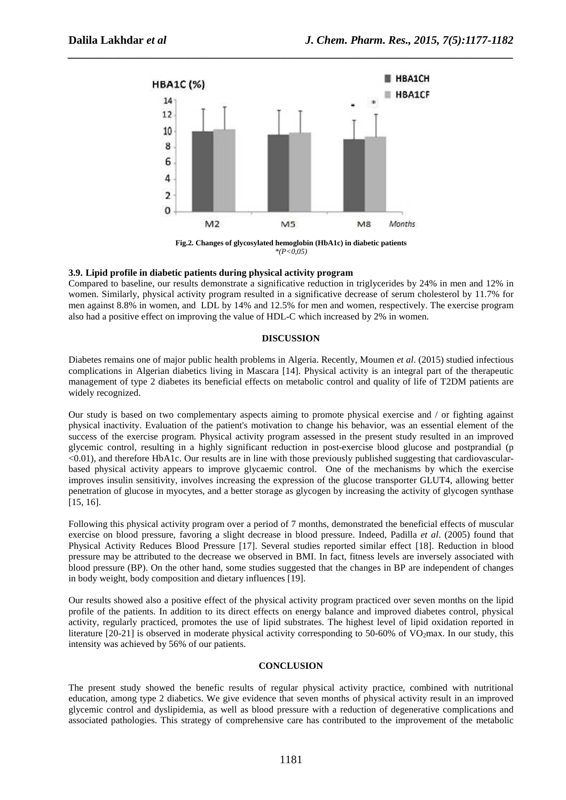

*\_\_\_\_\_\_\_\_\_\_\_\_\_\_\_\_\_\_\_\_\_\_\_\_\_\_\_\_\_\_\_\_\_\_\_\_\_\_\_\_\_\_\_\_\_\_\_\_\_\_\_\_\_\_\_\_\_\_\_\_\_\_\_\_\_\_\_\_\_\_\_\_\_\_\_\_\_\_*

**Fig.2. Changes of glycosylated hemoglobin (HbA1c) in diabetic patients**  *\*(P<0,05)* 

# **3.9. Lipid profile in diabetic patients during physical activity program**

Compared to baseline, our results demonstrate a significative reduction in triglycerides by 24% in men and 12% in women. Similarly, physical activity program resulted in a significative decrease of serum cholesterol by 11.7% for men against 8.8% in women, and LDL by 14% and 12.5% for men and women, respectively. The exercise program also had a positive effect on improving the value of HDL-C which increased by 2% in women.

## **DISCUSSION**

Diabetes remains one of major public health problems in Algeria. Recently, Moumen *et al*. (2015) studied infectious complications in Algerian diabetics living in Mascara [14]. Physical activity is an integral part of the therapeutic management of type 2 diabetes its beneficial effects on metabolic control and quality of life of T2DM patients are widely recognized.

Our study is based on two complementary aspects aiming to promote physical exercise and / or fighting against physical inactivity. Evaluation of the patient's motivation to change his behavior, was an essential element of the success of the exercise program. Physical activity program assessed in the present study resulted in an improved glycemic control, resulting in a highly significant reduction in post-exercise blood glucose and postprandial (p <0.01), and therefore HbA1c. Our results are in line with those previously published suggesting that cardiovascularbased physical activity appears to improve glycaemic control. One of the mechanisms by which the exercise improves insulin sensitivity, involves increasing the expression of the glucose transporter GLUT4, allowing better penetration of glucose in myocytes, and a better storage as glycogen by increasing the activity of glycogen synthase [15, 16].

Following this physical activity program over a period of 7 months, demonstrated the beneficial effects of muscular exercise on blood pressure, favoring a slight decrease in blood pressure. Indeed, Padilla *et al*. (2005) found that Physical Activity Reduces Blood Pressure [17]. Several studies reported similar effect [18]. Reduction in blood pressure may be attributed to the decrease we observed in BMI. In fact, fitness levels are inversely associated with blood pressure (BP). On the other hand, some studies suggested that the changes in BP are independent of changes in body weight, body composition and dietary influences [19].

Our results showed also a positive effect of the physical activity program practiced over seven months on the lipid profile of the patients. In addition to its direct effects on energy balance and improved diabetes control, physical activity, regularly practiced, promotes the use of lipid substrates. The highest level of lipid oxidation reported in literature [20-21] is observed in moderate physical activity corresponding to 50-60% of VO<sub>2</sub>max. In our study, this intensity was achieved by 56% of our patients.

## **CONCLUSION**

The present study showed the benefic results of regular physical activity practice, combined with nutritional education, among type 2 diabetics. We give evidence that seven months of physical activity result in an improved glycemic control and dyslipidemia, as well as blood pressure with a reduction of degenerative complications and associated pathologies. This strategy of comprehensive care has contributed to the improvement of the metabolic